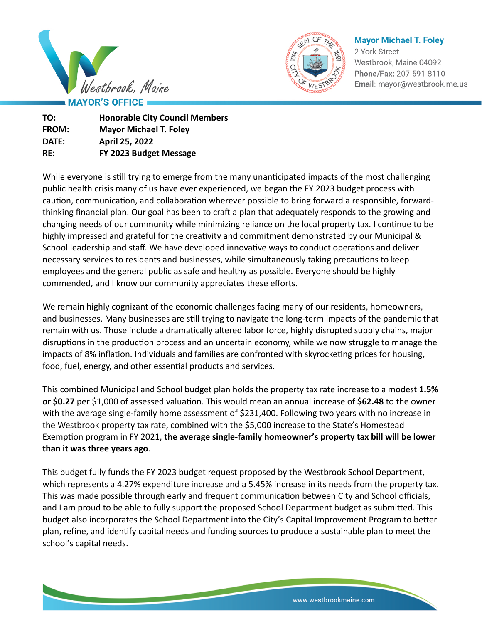



**Mayor Michael T. Foley** 

2 York Street Westbrook, Maine 04092 Phone/Fax: 207-591-8110 Email: mayor@westbrook.me.us

**TO: Honorable City Council Members FROM: Mayor Michael T. Foley DATE: April 25, 2022 RE: FY 2023 Budget Message**

While everyone is still trying to emerge from the many unanticipated impacts of the most challenging public health crisis many of us have ever experienced, we began the FY 2023 budget process with caution, communication, and collaboration wherever possible to bring forward a responsible, forwardthinking financial plan. Our goal has been to craft a plan that adequately responds to the growing and changing needs of our community while minimizing reliance on the local property tax. I continue to be highly impressed and grateful for the creativity and commitment demonstrated by our Municipal & School leadership and staff. We have developed innovative ways to conduct operations and deliver necessary services to residents and businesses, while simultaneously taking precautions to keep employees and the general public as safe and healthy as possible. Everyone should be highly commended, and I know our community appreciates these efforts.

We remain highly cognizant of the economic challenges facing many of our residents, homeowners, and businesses. Many businesses are still trying to navigate the long-term impacts of the pandemic that remain with us. Those include a dramatically altered labor force, highly disrupted supply chains, major disruptions in the production process and an uncertain economy, while we now struggle to manage the impacts of 8% inflation. Individuals and families are confronted with skyrocketing prices for housing, food, fuel, energy, and other essential products and services.

This combined Municipal and School budget plan holds the property tax rate increase to a modest **1.5% or \$0.27** per \$1,000 of assessed valuation. This would mean an annual increase of **\$62.48** to the owner with the average single-family home assessment of \$231,400. Following two years with no increase in the Westbrook property tax rate, combined with the \$5,000 increase to the State's Homestead Exemption program in FY 2021, **the average single-family homeowner's property tax bill will be lower than it was three years ago**.

This budget fully funds the FY 2023 budget request proposed by the Westbrook School Department, which represents a 4.27% expenditure increase and a 5.45% increase in its needs from the property tax. This was made possible through early and frequent communication between City and School officials, and I am proud to be able to fully support the proposed School Department budget as submitted. This budget also incorporates the School Department into the City's Capital Improvement Program to better plan, refine, and identify capital needs and funding sources to produce a sustainable plan to meet the school's capital needs.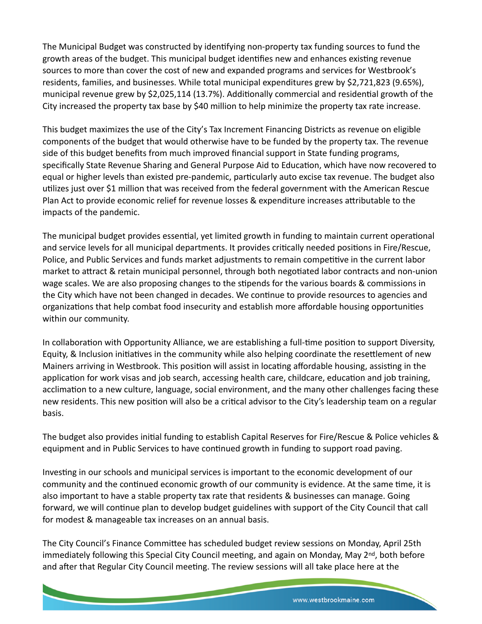The Municipal Budget was constructed by identifying non-property tax funding sources to fund the growth areas of the budget. This municipal budget identifies new and enhances existing revenue sources to more than cover the cost of new and expanded programs and services for Westbrook's residents, families, and businesses. While total municipal expenditures grew by \$2,721,823 (9.65%), municipal revenue grew by \$2,025,114 (13.7%). Additionally commercial and residential growth of the City increased the property tax base by \$40 million to help minimize the property tax rate increase.

This budget maximizes the use of the City's Tax Increment Financing Districts as revenue on eligible components of the budget that would otherwise have to be funded by the property tax. The revenue side of this budget benefits from much improved financial support in State funding programs, specifically State Revenue Sharing and General Purpose Aid to Education, which have now recovered to equal or higher levels than existed pre-pandemic, particularly auto excise tax revenue. The budget also utilizes just over \$1 million that was received from the federal government with the American Rescue Plan Act to provide economic relief for revenue losses & expenditure increases attributable to the impacts of the pandemic.

The municipal budget provides essential, yet limited growth in funding to maintain current operational and service levels for all municipal departments. It provides critically needed positions in Fire/Rescue, Police, and Public Services and funds market adjustments to remain competitive in the current labor market to attract & retain municipal personnel, through both negotiated labor contracts and non-union wage scales. We are also proposing changes to the stipends for the various boards & commissions in the City which have not been changed in decades. We continue to provide resources to agencies and organizations that help combat food insecurity and establish more affordable housing opportunities within our community.

In collaboration with Opportunity Alliance, we are establishing a full-time position to support Diversity, Equity, & Inclusion initiatives in the community while also helping coordinate the resettlement of new Mainers arriving in Westbrook. This position will assist in locating affordable housing, assisting in the application for work visas and job search, accessing health care, childcare, education and job training, acclimation to a new culture, language, social environment, and the many other challenges facing these new residents. This new position will also be a critical advisor to the City's leadership team on a regular basis.

The budget also provides initial funding to establish Capital Reserves for Fire/Rescue & Police vehicles & equipment and in Public Services to have continued growth in funding to support road paving.

Investing in our schools and municipal services is important to the economic development of our community and the continued economic growth of our community is evidence. At the same time, it is also important to have a stable property tax rate that residents & businesses can manage. Going forward, we will continue plan to develop budget guidelines with support of the City Council that call for modest & manageable tax increases on an annual basis.

The City Council's Finance Committee has scheduled budget review sessions on Monday, April 25th immediately following this Special City Council meeting, and again on Monday, May 2<sup>nd</sup>, both before and after that Regular City Council meeting. The review sessions will all take place here at the